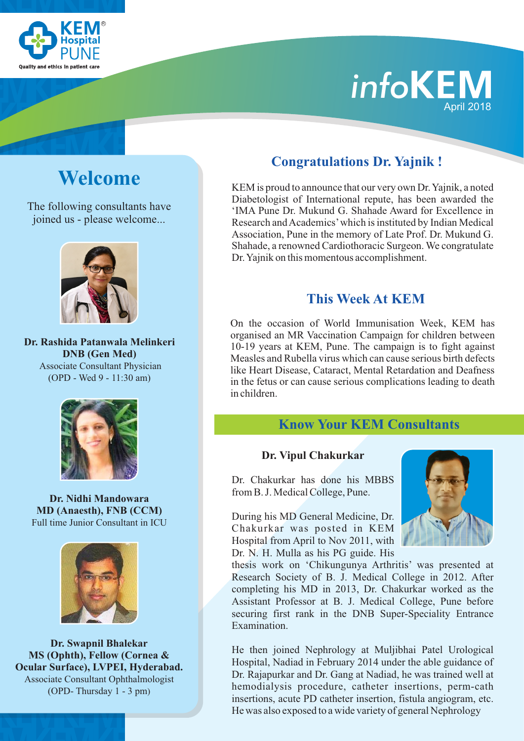

# *info* April 2018

The following consultants have joined us - please welcome...



**Dr. Rashida Patanwala Melinkeri DNB (Gen Med)** Associate Consultant Physician (OPD - Wed 9 - 11:30 am)



**Dr. Nidhi Mandowara MD (Anaesth), FNB (CCM)** Full time Junior Consultant in ICU



**Dr. Swapnil Bhalekar MS (Ophth), Fellow (Cornea & Ocular Surface), LVPEI, Hyderabad.** Associate Consultant Ophthalmologist (OPD- Thursday 1 - 3 pm)

## **Congratulations Dr. Yajnik !**

**Welcome** KEM is proud to announce that our very own Dr. Yajnik, a noted Diabetologist of International repute, has been awarded the 'IMA Pune Dr. Mukund G. Shahade Award for Excellence in Research and Academics'which is instituted by Indian Medical Association, Pune in the memory of Late Prof. Dr. Mukund G. Shahade, a renowned Cardiothoracic Surgeon. We congratulate Dr. Yajnik on this momentous accomplishment.

### **This Week At KEM**

On the occasion of World Immunisation Week, KEM has organised an MR Vaccination Campaign for children between 10-19 years at KEM, Pune. The campaign is to fight against Measles and Rubella virus which can cause serious birth defects like Heart Disease, Cataract, Mental Retardation and Deafness in the fetus or can cause serious complications leading to death in children.

#### **Know Your KEM Consultants**

#### **Dr. Vipul Chakurkar**

Dr. Chakurkar has done his MBBS from B. J. Medical College, Pune.

During his MD General Medicine, Dr. Chakurkar was posted in KEM Hospital from April to Nov 2011, with Dr. N. H. Mulla as his PG guide. His



thesis work on 'Chikungunya Arthritis' was presented at Research Society of B. J. Medical College in 2012. After completing his MD in 2013, Dr. Chakurkar worked as the Assistant Professor at B. J. Medical College, Pune before securing first rank in the DNB Super-Speciality Entrance Examination.

hemodialysis procedure, catheter insertions, perm-cath insertions, acute PD catheter insertion, fistula angiogram, etc. He was also exposed to a wide variety of general Nephrology  $\mathcal{H}_{\mathbf{r}}$ He then joined Nephrology at Muljibhai Patel Urological Hospital, Nadiad in February 2014 under the able guidance of Dr. Rajapurkar and Dr. Gang at Nadiad, he was trained well at